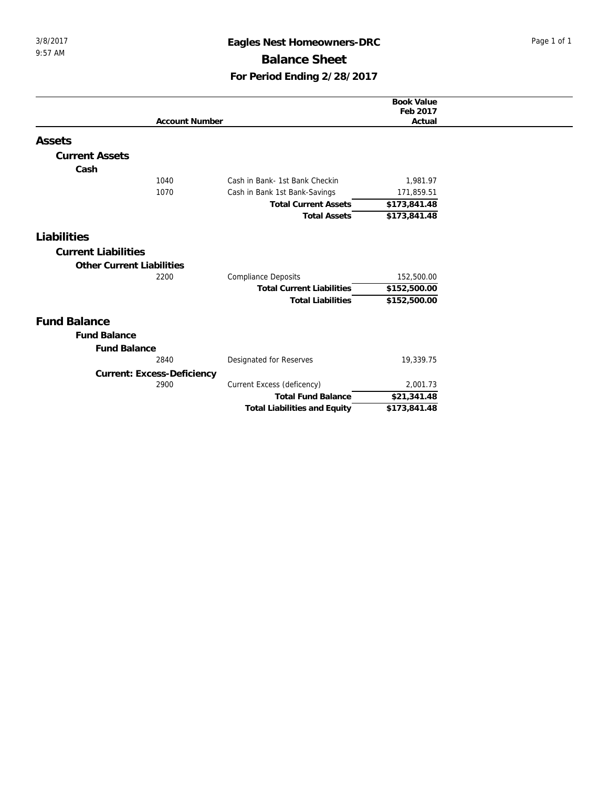## 3/8/2017 **Eagles Nest Homeowners-DRC** Page 1 of 1 **Balance Sheet For Period Ending 2/28/2017**

|                            |                                     | <b>Book Value</b> |
|----------------------------|-------------------------------------|-------------------|
|                            |                                     | Feb 2017          |
| <b>Account Number</b>      |                                     | Actual            |
| Assets                     |                                     |                   |
| <b>Current Assets</b>      |                                     |                   |
| Cash                       |                                     |                   |
| 1040                       | Cash in Bank- 1st Bank Checkin      | 1,981.97          |
| 1070                       | Cash in Bank 1st Bank-Savings       | 171,859.51        |
|                            | <b>Total Current Assets</b>         | \$173,841.48      |
|                            | <b>Total Assets</b>                 | \$173,841.48      |
| Liabilities                |                                     |                   |
| <b>Current Liabilities</b> |                                     |                   |
| Other Current Liabilities  |                                     |                   |
| 2200                       | <b>Compliance Deposits</b>          | 152,500.00        |
|                            | <b>Total Current Liabilities</b>    | \$152,500.00      |
|                            | <b>Total Liabilities</b>            | \$152,500.00      |
| <b>Fund Balance</b>        |                                     |                   |
| <b>Fund Balance</b>        |                                     |                   |
| <b>Fund Balance</b>        |                                     |                   |
| 2840                       | Designated for Reserves             | 19,339.75         |
| Current: Excess-Deficiency |                                     |                   |
| 2900                       | Current Excess (deficency)          | 2,001.73          |
|                            | <b>Total Fund Balance</b>           | \$21,341.48       |
|                            | <b>Total Liabilities and Equity</b> | \$173,841.48      |